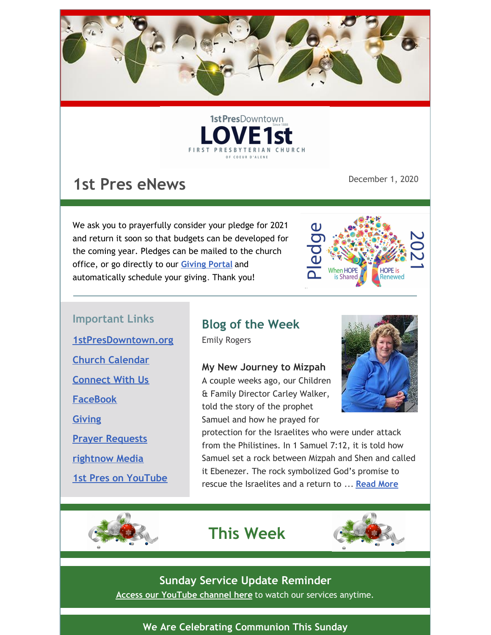



# **1st Pres eNews**

December 1, 2020

We ask you to prayerfully consider your pledge for 2021 and return it soon so that budgets can be developed for the coming year. Pledges can be mailed to the church office, or go directly to our **Giving Portal** and automatically schedule your giving. Thank you!



#### **Important Links**

**1stPresDowntown.org Church Calendar**

**Connect With Us**

**FaceBook**

**Giving**

**Prayer Requests**

**rightnow Media**

**1st Pres on YouTube**

# **Blog of the Week**

Emily Rogers

**My New Journey to Mizpah** A couple weeks ago, our Children & Family Director Carley Walker, told the story of the prophet Samuel and how he prayed for



protection for the Israelites who were under attack from the Philistines. In 1 Samuel 7:12, it is told how Samuel set a rock between Mizpah and Shen and called it Ebenezer. The rock symbolized God's promise to rescue the Israelites and a return to ... **Read More**

# **This Week**



### **Sunday Service Update Reminder**

**Access our YouTube channel here** to watch our services anytime.

#### **We Are Celebrating Communion This Sunday**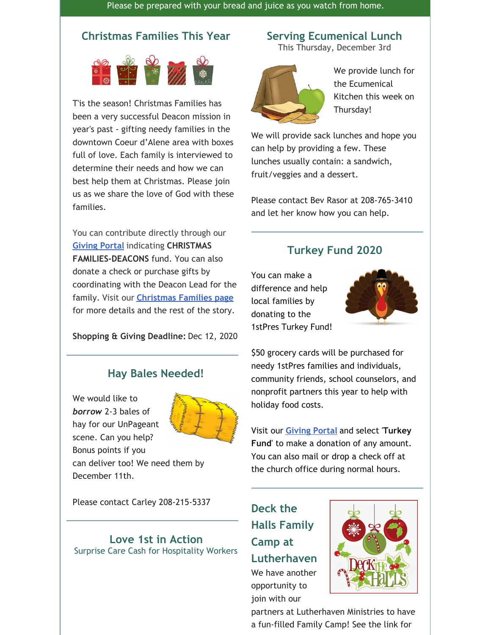Please be prepared with your bread and juice as you watch from home.

#### **Christmas Families This Year**



T'is the season! Christmas Families has been a very successful Deacon mission in year's past - gifting needy families in the downtown Coeur d'Alene area with boxes full of love. Each family is interviewed to determine their needs and how we can best help them at Christmas. Please join us as we share the love of God with these families.

You can contribute directly through our **Giving Portal** indicating **CHRISTMAS FAMILIES-DEACONS** fund. You can also donate a check or purchase gifts by coordinating with the Deacon Lead for the family. Visit our **Christmas Families page** for more details and the rest of the story.

**Shopping & Giving Deadline:** Dec 12, 2020

#### **Hay Bales Needed!**

We would like to *borrow* 2-3 bales of hay for our UnPageant scene. Can you help? Bonus points if you can deliver too! We need them by



December 11th.

Please contact Carley 208-215-5337

#### **Love 1st in Action** Surprise Care Cash for Hospitality Workers

#### **Serving Ecumenical Lunch**

This Thursday, December 3rd



We provide lunch for the Ecumenical Kitchen this week on Thursday!

We will provide sack lunches and hope you can help by providing a few. These lunches usually contain: a sandwich, fruit/veggies and a dessert.

Please contact Bev Rasor at 208-765-3410 and let her know how you can help.

#### **Turkey Fund 2020**

You can make a difference and help local families by donating to the 1stPres Turkey Fund!



\$50 grocery cards will be purchased for needy 1stPres families and individuals, community friends, school counselors, and nonprofit partners this year to help with holiday food costs.

Visit our **Giving Portal** and select '**Turkey Fund**' to make a donation of any amount. You can also mail or drop a check off at the church office during normal hours.

**Deck the Halls Family Camp at Lutherhaven** We have another opportunity to

join with our



partners at Lutherhaven Ministries to have a fun-filled Family Camp! See the link for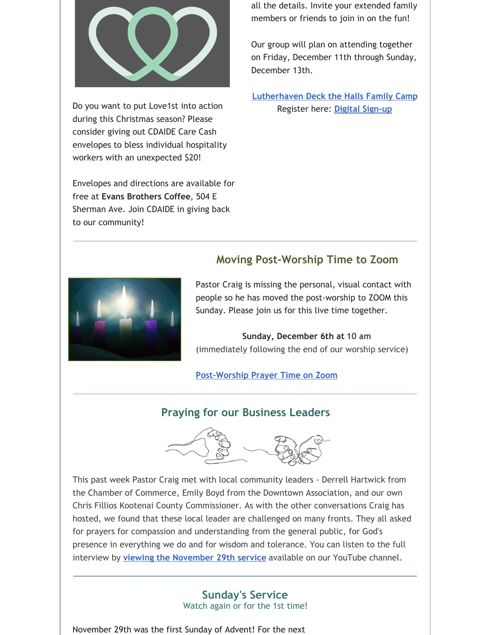

Do you want to put Love1st into action during this Christmas season? Please consider giving out CDAIDE Care Cash envelopes to bless individual hospitality workers with an unexpected \$20!

Envelopes and directions are available for free at **Evans Brothers Coffee**, 504 E Sherman Ave. Join CDAIDE in giving back to our community!

all the details. Invite your extended family members or friends to join in on the fun!

Our group will plan on attending together on Friday, December 11th through Sunday, December 13th.

**Lutherhaven Deck the Halls Family Camp** Register here: **Digital Sign-up**

### **Moving Post-Worship Time to Zoom**

Pastor Craig is missing the personal, visual contact with people so he has moved the post-worship to ZOOM this Sunday. Please join us for this live time together.

#### **Sunday, December 6th at 10 am** (immediately following the end of our worship service)

**Post-Worship Prayer Time on Zoom**

### **Praying for our Business Leaders**



This past week Pastor Craig met with local community leaders - Derrell Hartwick from the Chamber of Commerce, Emily Boyd from the Downtown Association, and our own Chris Fillios Kootenai County Commissioner. As with the other conversations Craig has hosted, we found that these local leader are challenged on many fronts. They all asked for prayers for compassion and understanding from the general public, for God's presence in everything we do and for wisdom and tolerance. You can listen to the full interview by **viewing the November 29th service** available on our YouTube channel.

#### **Sunday's Service**

Watch again or for the 1st time!

November 29th was the first Sunday of Advent! For the next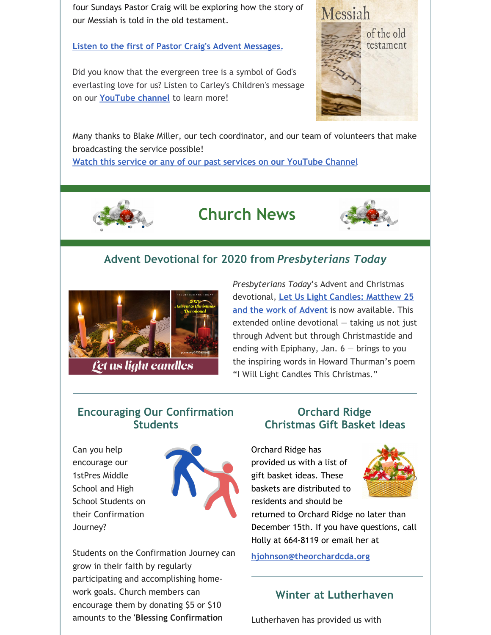four Sundays Pastor Craig will be exploring how the story of our Messiah is told in the old testament.

**Listen to the first of Pastor Craig's Advent Messages.**

Did you know that the evergreen tree is a symbol of God's everlasting love for us? Listen to Carley's Children's message on our **YouTube channel** to learn more!



Many thanks to Blake Miller, our tech coordinator, and our team of volunteers that make broadcasting the service possible!

**Watch this service or any of our past services on our YouTube Channel**



# **Church News**



### **Advent Devotional for 2020 from** *Presbyterians Today*



Let us light candles

*Presbyterians Today*'s Advent and Christmas devotional, **Let Us Light Candles: Matthew 25 and the work of Advent** is now available. This extended online devotional — taking us not just through Advent but through Christmastide and ending with Epiphany, Jan.  $6 -$  brings to you the inspiring words in Howard Thurman's poem "I Will Light Candles This Christmas."

#### **Encouraging Our Confirmation Students**

Can you help encourage our 1stPres Middle School and High School Students on their Confirmation Journey?



Students on the Confirmation Journey can grow in their faith by regularly participating and accomplishing homework goals. Church members can encourage them by donating \$5 or \$10 amounts to the **'Blessing Confirmation**

#### **Orchard Ridge Christmas Gift Basket Ideas**

Orchard Ridge has provided us with a list of gift basket ideas. These baskets are distributed to residents and should be



returned to Orchard Ridge no later than December 15th. If you have questions, call Holly at 664-8119 or email her at

**hjohnson@theorchardcda.org**

#### **Winter at Lutherhaven**

Lutherhaven has provided us with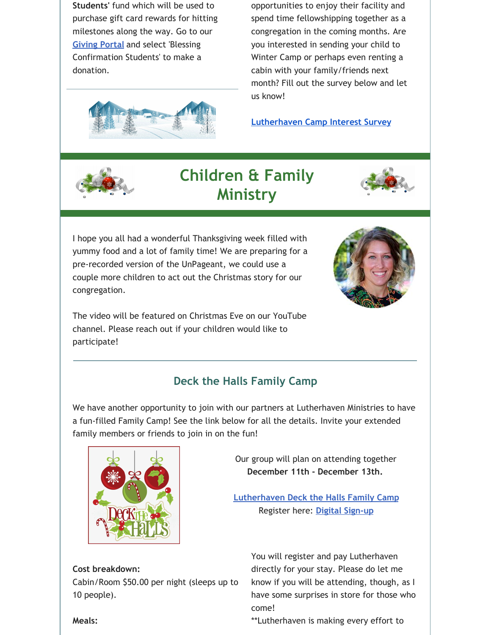**Students'** fund which will be used to purchase gift card rewards for hitting milestones along the way. Go to our **Giving Portal** and select 'Blessing Confirmation Students' to make a donation.



**Lutherhaven Camp Interest Survey**



### **Children & Family Ministry**



I hope you all had a wonderful Thanksgiving week filled with yummy food and a lot of family time! We are preparing for a pre-recorded version of the UnPageant, we could use a couple more children to act out the Christmas story for our congregation.



The video will be featured on Christmas Eve on our YouTube channel. Please reach out if your children would like to participate!

### **Deck the Halls Family Camp**

We have another opportunity to join with our partners at Lutherhaven Ministries to have a fun-filled Family Camp! See the link below for all the details. Invite your extended family members or friends to join in on the fun!



Cabin/Room \$50.00 per night (sleeps up to

Our group will plan on attending together **December 11th - December 13th.**

**Lutherhaven Deck the Halls Family Camp** Register here: **Digital Sign-up**

> You will register and pay Lutherhaven directly for your stay. Please do let me know if you will be attending, though, as I have some surprises in store for those who come!

\*\*Lutherhaven is making every effort to

#### **Meals:**

10 people).

**Cost breakdown:**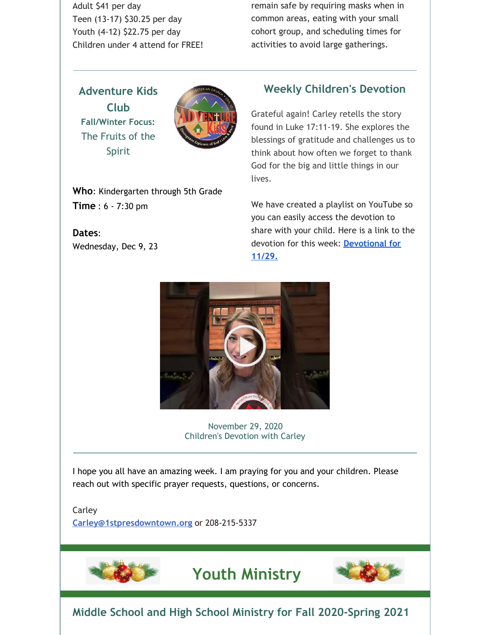Adult \$41 per day Teen (13-17) \$30.25 per day Youth (4-12) \$22.75 per day Children under 4 attend for FREE! remain safe by requiring masks when in common areas, eating with your small cohort group, and scheduling times for activities to avoid large gatherings.

**Adventure Kids Club Fall/Winter Focus:** The Fruits of the Spirit



**Who**: Kindergarten through 5th Grade **Time** : 6 - 7:30 pm

**Dates**: Wednesday, Dec 9, 23

#### **Weekly Children's Devotion**

Grateful again! Carley retells the story found in Luke 17:11-19. She explores the blessings of gratitude and challenges us to think about how often we forget to thank God for the big and little things in our lives.

We have created a playlist on YouTube so you can easily access the devotion to share with your child. Here is a link to the devotion for this week: **Devotional for 11/29.**



November 29, 2020 Children's Devotion with Carley

I hope you all have an amazing week. I am praying for you and your children. Please reach out with specific prayer requests, questions, or concerns.

Carley

**Carley@1stpresdowntown.org** or 208-215-5337



## **Youth Ministry**



**Middle School and High School Ministry for Fall 2020-Spring 2021**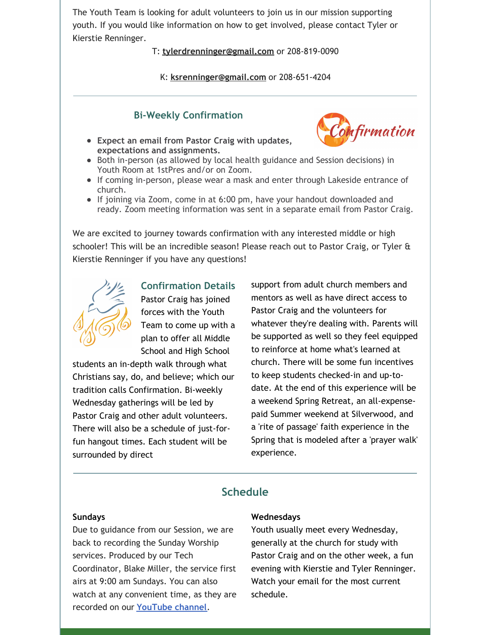The Youth Team is looking for adult volunteers to join us in our mission supporting youth. If you would like information on how to get involved, please contact Tyler or Kierstie Renninger.

#### T: **tylerdrenninger@gmail.com** or 208-819-0090

K: **ksrenninger@gmail.com** or 208-651-4204

#### **Bi-Weekly Confirmation**

- **Expect an email from Pastor Craig with updates, expectations and assignments.**
- Both in-person (as allowed by local health guidance and Session decisions) in Youth Room at 1stPres and/or on Zoom.
- If coming in-person, please wear a mask and enter through Lakeside entrance of church.
- If joining via Zoom, come in at 6:00 pm, have your handout downloaded and ready. Zoom meeting information was sent in a separate email from Pastor Craig.

We are excited to journey towards confirmation with any interested middle or high schooler! This will be an incredible season! Please reach out to Pastor Craig, or Tyler & Kierstie Renninger if you have any questions!



Pastor Craig has joined forces with the Youth Team to come up with a plan to offer all Middle School and High School

**Confirmation Details**

students an in-depth walk through what Christians say, do, and believe; which our tradition calls Confirmation. Bi-weekly Wednesday gatherings will be led by Pastor Craig and other adult volunteers. There will also be a schedule of just-forfun hangout times. Each student will be surrounded by direct

support from adult church members and mentors as well as have direct access to Pastor Craig and the volunteers for whatever they're dealing with. Parents will be supported as well so they feel equipped to reinforce at home what's learned at church. There will be some fun incentives to keep students checked-in and up-todate. At the end of this experience will be a weekend Spring Retreat, an all-expensepaid Summer weekend at Silverwood, and a 'rite of passage' faith experience in the Spring that is modeled after a 'prayer walk' experience.

**Confirmation** 

#### **Schedule**

#### **Sundays**

Due to guidance from our Session, we are back to recording the Sunday Worship services. Produced by our Tech Coordinator, Blake Miller, the service first airs at 9:00 am Sundays. You can also watch at any convenient time, as they are recorded on our **YouTube channel**.

#### **Wednesdays**

Youth usually meet every Wednesday, generally at the church for study with Pastor Craig and on the other week, a fun evening with Kierstie and Tyler Renninger. Watch your email for the most current schedule.